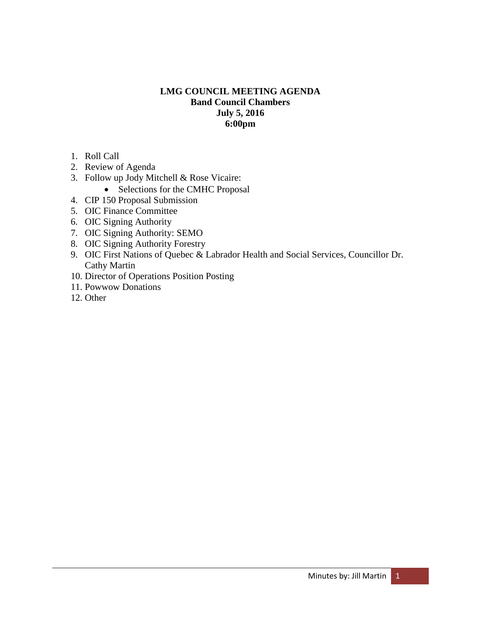#### **LMG COUNCIL MEETING AGENDA Band Council Chambers July 5, 2016 6:00pm**

- 1. Roll Call
- 2. Review of Agenda
- 3. Follow up Jody Mitchell & Rose Vicaire:
	- Selections for the CMHC Proposal
- 4. CIP 150 Proposal Submission
- 5. OIC Finance Committee
- 6. OIC Signing Authority
- 7. OIC Signing Authority: SEMO
- 8. OIC Signing Authority Forestry
- 9. OIC First Nations of Quebec & Labrador Health and Social Services, Councillor Dr. Cathy Martin
- 10. Director of Operations Position Posting
- 11. Powwow Donations
- 12. Other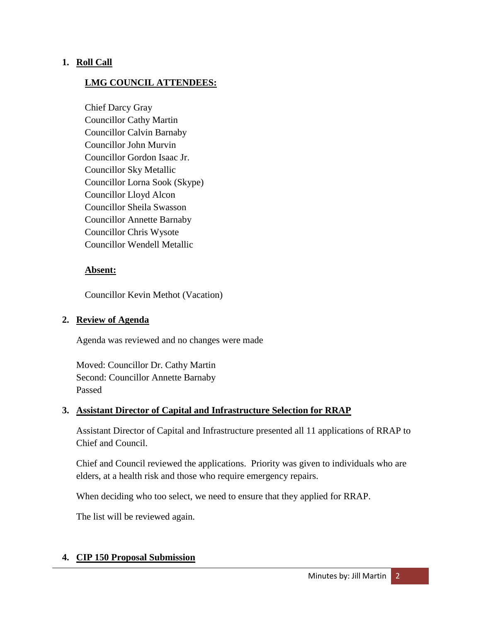### **1. Roll Call**

### **LMG COUNCIL ATTENDEES:**

Chief Darcy Gray Councillor Cathy Martin Councillor Calvin Barnaby Councillor John Murvin Councillor Gordon Isaac Jr. Councillor Sky Metallic Councillor Lorna Sook (Skype) Councillor Lloyd Alcon Councillor Sheila Swasson Councillor Annette Barnaby Councillor Chris Wysote Councillor Wendell Metallic

#### **Absent:**

Councillor Kevin Methot (Vacation)

#### **2. Review of Agenda**

Agenda was reviewed and no changes were made

Moved: Councillor Dr. Cathy Martin Second: Councillor Annette Barnaby Passed

#### **3. Assistant Director of Capital and Infrastructure Selection for RRAP**

Assistant Director of Capital and Infrastructure presented all 11 applications of RRAP to Chief and Council.

Chief and Council reviewed the applications. Priority was given to individuals who are elders, at a health risk and those who require emergency repairs.

When deciding who too select, we need to ensure that they applied for RRAP.

The list will be reviewed again.

#### **4. CIP 150 Proposal Submission**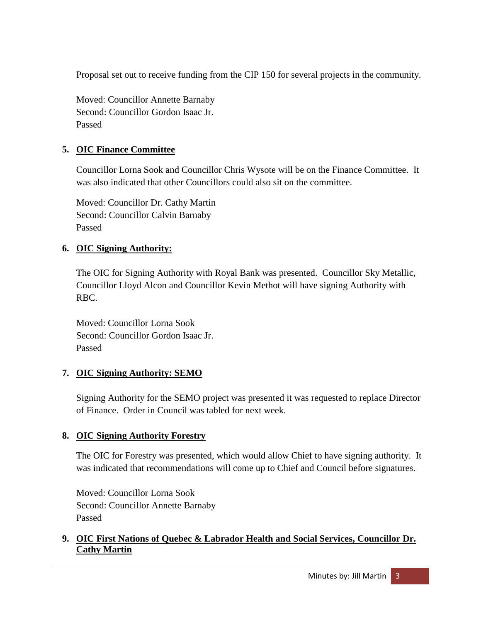Proposal set out to receive funding from the CIP 150 for several projects in the community.

Moved: Councillor Annette Barnaby Second: Councillor Gordon Isaac Jr. Passed

# **5. OIC Finance Committee**

Councillor Lorna Sook and Councillor Chris Wysote will be on the Finance Committee. It was also indicated that other Councillors could also sit on the committee.

Moved: Councillor Dr. Cathy Martin Second: Councillor Calvin Barnaby Passed

# **6. OIC Signing Authority:**

The OIC for Signing Authority with Royal Bank was presented. Councillor Sky Metallic, Councillor Lloyd Alcon and Councillor Kevin Methot will have signing Authority with RBC.

Moved: Councillor Lorna Sook Second: Councillor Gordon Isaac Jr. Passed

# **7. OIC Signing Authority: SEMO**

Signing Authority for the SEMO project was presented it was requested to replace Director of Finance. Order in Council was tabled for next week.

# **8. OIC Signing Authority Forestry**

The OIC for Forestry was presented, which would allow Chief to have signing authority. It was indicated that recommendations will come up to Chief and Council before signatures.

Moved: Councillor Lorna Sook Second: Councillor Annette Barnaby Passed

### **9. OIC First Nations of Quebec & Labrador Health and Social Services, Councillor Dr. Cathy Martin**